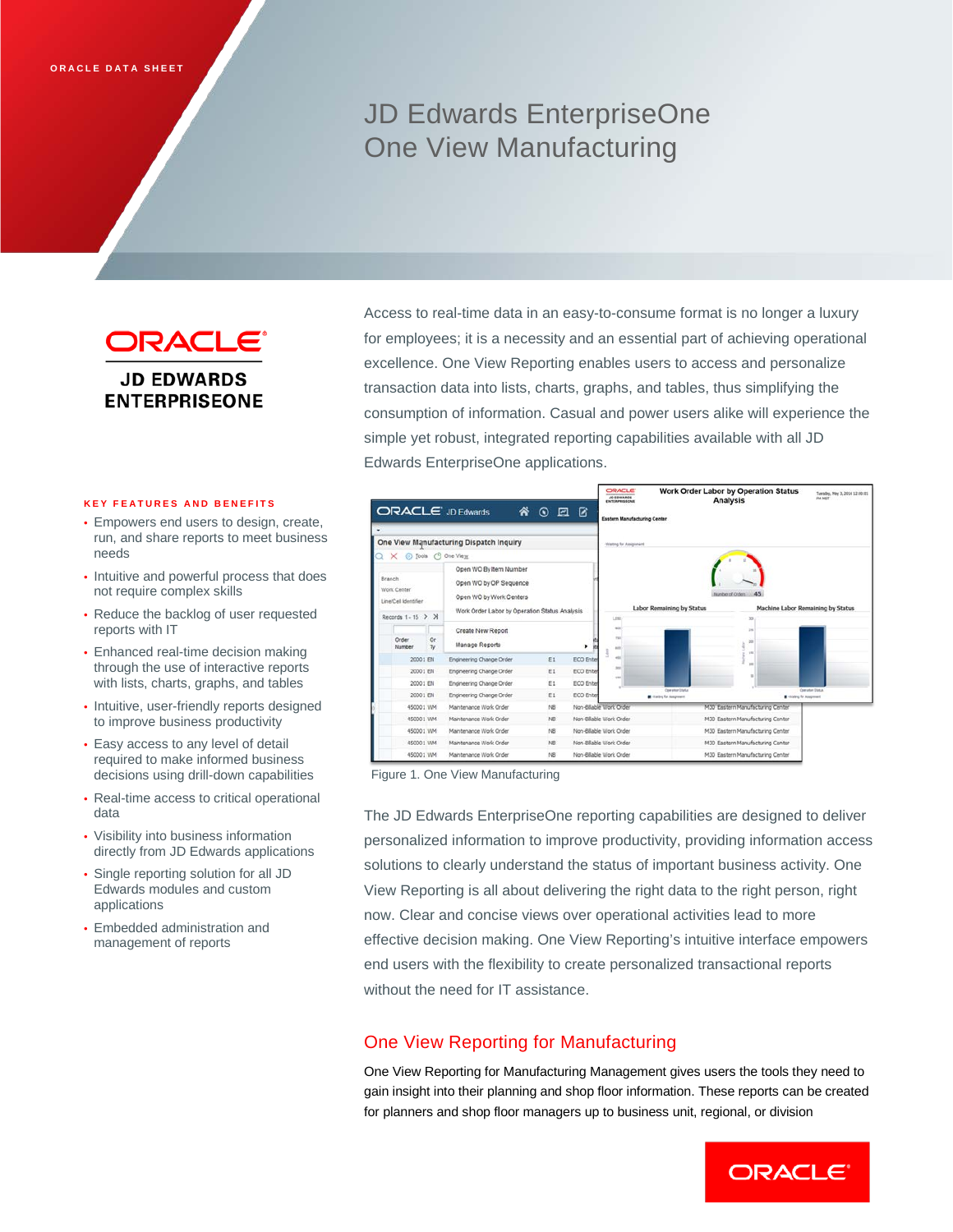# JD Edwards EnterpriseOne One View Manufacturing

**ORACLE® JD EDWARDS ENTERPRISEONE** 

#### **KEY FEATURES AND BENEFITS**

- Empowers end users to design, create, run, and share reports to meet business needs
- Intuitive and powerful process that does not require complex skills
- Reduce the backlog of user requested reports with IT
- Enhanced real-time decision making through the use of interactive reports with lists, charts, graphs, and tables
- Intuitive, user-friendly reports designed to improve business productivity
- Easy access to any level of detail required to make informed business decisions using drill-down capabilities
- Real-time access to critical operational data
- Visibility into business information directly from JD Edwards applications
- Single reporting solution for all JD Edwards modules and custom applications
- Embedded administration and management of reports

Access to real-time data in an easy-to-consume format is no longer a luxury for employees; it is a necessity and an essential part of achieving operational excellence. One View Reporting enables users to access and personalize transaction data into lists, charts, graphs, and tables, thus simplifying the consumption of information. Casual and power users alike will experience the simple yet robust, integrated reporting capabilities available with all JD Edwards EnterpriseOne applications.



Figure 1. One View Manufacturing

The JD Edwards EnterpriseOne reporting capabilities are designed to deliver personalized information to improve productivity, providing information access solutions to clearly understand the status of important business activity. One View Reporting is all about delivering the right data to the right person, right now. Clear and concise views over operational activities lead to more effective decision making. One View Reporting's intuitive interface empowers end users with the flexibility to create personalized transactional reports without the need for IT assistance.

## One View Reporting for Manufacturing

One View Reporting for Manufacturing Management gives users the tools they need to gain insight into their planning and shop floor information. These reports can be created for planners and shop floor managers up to business unit, regional, or division

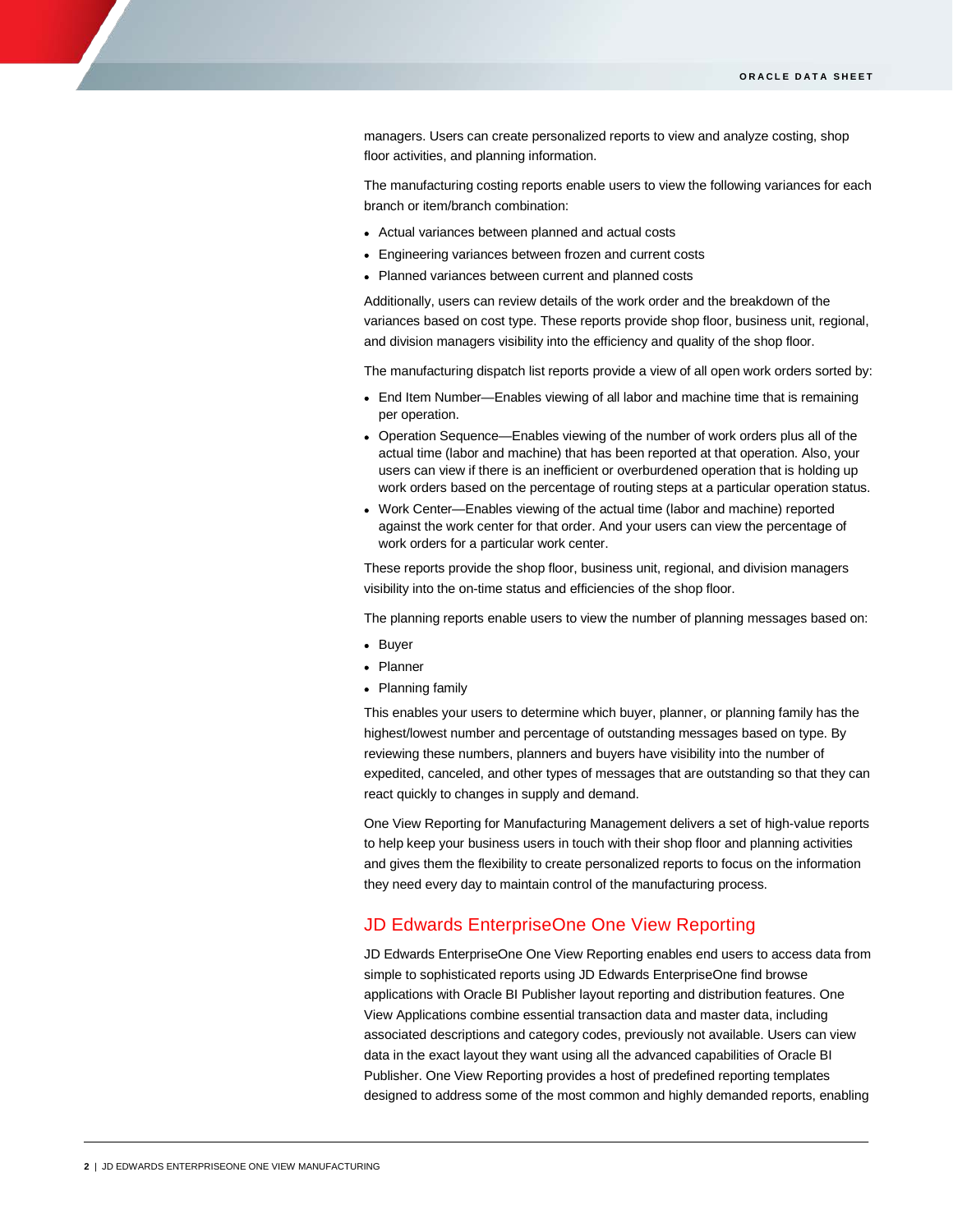managers. Users can create personalized reports to view and analyze costing, shop floor activities, and planning information.

The manufacturing costing reports enable users to view the following variances for each branch or item/branch combination:

- Actual variances between planned and actual costs
- Engineering variances between frozen and current costs
- Planned variances between current and planned costs

Additionally, users can review details of the work order and the breakdown of the variances based on cost type. These reports provide shop floor, business unit, regional, and division managers visibility into the efficiency and quality of the shop floor.

The manufacturing dispatch list reports provide a view of all open work orders sorted by:

- End Item Number—Enables viewing of all labor and machine time that is remaining per operation.
- Operation Sequence—Enables viewing of the number of work orders plus all of the actual time (labor and machine) that has been reported at that operation. Also, your users can view if there is an inefficient or overburdened operation that is holding up work orders based on the percentage of routing steps at a particular operation status.
- Work Center—Enables viewing of the actual time (labor and machine) reported against the work center for that order. And your users can view the percentage of work orders for a particular work center.

These reports provide the shop floor, business unit, regional, and division managers visibility into the on-time status and efficiencies of the shop floor.

The planning reports enable users to view the number of planning messages based on:

- Buyer
- Planner
- Planning family

This enables your users to determine which buyer, planner, or planning family has the highest/lowest number and percentage of outstanding messages based on type. By reviewing these numbers, planners and buyers have visibility into the number of expedited, canceled, and other types of messages that are outstanding so that they can react quickly to changes in supply and demand.

One View Reporting for Manufacturing Management delivers a set of high-value reports to help keep your business users in touch with their shop floor and planning activities and gives them the flexibility to create personalized reports to focus on the information they need every day to maintain control of the manufacturing process.

### JD Edwards EnterpriseOne One View Reporting

JD Edwards EnterpriseOne One View Reporting enables end users to access data from simple to sophisticated reports using JD Edwards EnterpriseOne find browse applications with Oracle BI Publisher layout reporting and distribution features. One View Applications combine essential transaction data and master data, including associated descriptions and category codes, previously not available. Users can view data in the exact layout they want using all the advanced capabilities of Oracle BI Publisher. One View Reporting provides a host of predefined reporting templates designed to address some of the most common and highly demanded reports, enabling

ī